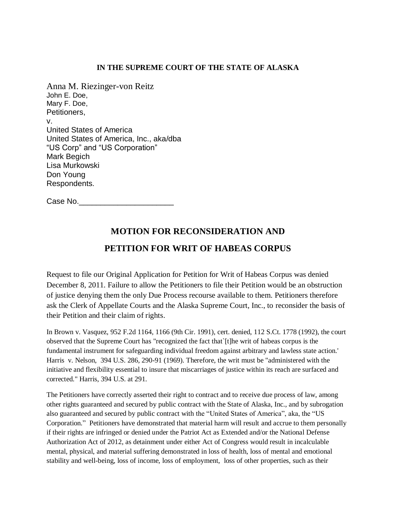#### **IN THE SUPREME COURT OF THE STATE OF ALASKA**

Anna M. Riezinger-von Reitz John E. Doe, Mary F. Doe, Petitioners, v. United States of America United States of America, Inc., aka/dba "US Corp" and "US Corporation" Mark Begich Lisa Murkowski Don Young Respondents.

Case No.\_\_\_\_\_\_\_\_\_\_\_\_\_\_\_\_\_\_\_\_\_\_

# **MOTION FOR RECONSIDERATION AND**

# **PETITION FOR WRIT OF HABEAS CORPUS**

Request to file our Original Application for Petition for Writ of Habeas Corpus was denied December 8, 2011. Failure to allow the Petitioners to file their Petition would be an obstruction of justice denying them the only Due Process recourse available to them. Petitioners therefore ask the Clerk of Appellate Courts and the Alaska Supreme Court, Inc., to reconsider the basis of their Petition and their claim of rights.

In Brown v. Vasquez, 952 F.2d 1164, 1166 (9th Cir. 1991), cert. denied, 112 S.Ct. 1778 (1992), the court observed that the Supreme Court has "recognized the fact that`[t]he writ of habeas corpus is the fundamental instrument for safeguarding individual freedom against arbitrary and lawless state action.' Harris v. Nelson, 394 U.S. 286, 290-91 (1969). Therefore, the writ must be "administered with the initiative and flexibility essential to insure that miscarriages of justice within its reach are surfaced and corrected." Harris, 394 U.S. at 291.

The Petitioners have correctly asserted their right to contract and to receive due process of law, among other rights guaranteed and secured by public contract with the State of Alaska, Inc., and by subrogation also guaranteed and secured by public contract with the "United States of America", aka, the "US Corporation." Petitioners have demonstrated that material harm will result and accrue to them personally if their rights are infringed or denied under the Patriot Act as Extended and/or the National Defense Authorization Act of 2012, as detainment under either Act of Congress would result in incalculable mental, physical, and material suffering demonstrated in loss of health, loss of mental and emotional stability and well-being, loss of income, loss of employment, loss of other properties, such as their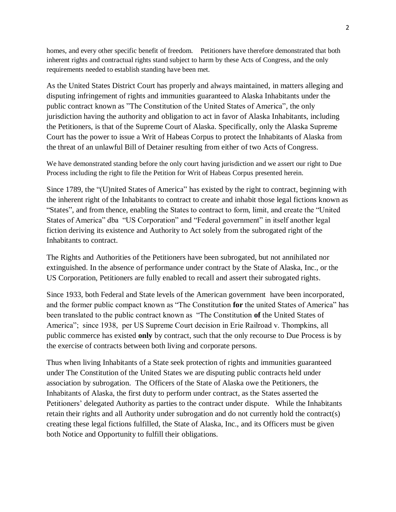homes, and every other specific benefit of freedom. Petitioners have therefore demonstrated that both inherent rights and contractual rights stand subject to harm by these Acts of Congress, and the only requirements needed to establish standing have been met.

As the United States District Court has properly and always maintained, in matters alleging and disputing infringement of rights and immunities guaranteed to Alaska Inhabitants under the public contract known as "The Constitution of the United States of America", the only jurisdiction having the authority and obligation to act in favor of Alaska Inhabitants, including the Petitioners, is that of the Supreme Court of Alaska. Specifically, only the Alaska Supreme Court has the power to issue a Writ of Habeas Corpus to protect the Inhabitants of Alaska from the threat of an unlawful Bill of Detainer resulting from either of two Acts of Congress.

We have demonstrated standing before the only court having jurisdiction and we assert our right to Due Process including the right to file the Petition for Writ of Habeas Corpus presented herein.

Since 1789, the "(U)nited States of America" has existed by the right to contract, beginning with the inherent right of the Inhabitants to contract to create and inhabit those legal fictions known as "States", and from thence, enabling the States to contract to form, limit, and create the "United States of America" dba "US Corporation" and "Federal government" in itself another legal fiction deriving its existence and Authority to Act solely from the subrogated right of the Inhabitants to contract.

The Rights and Authorities of the Petitioners have been subrogated, but not annihilated nor extinguished. In the absence of performance under contract by the State of Alaska, Inc., or the US Corporation, Petitioners are fully enabled to recall and assert their subrogated rights.

Since 1933, both Federal and State levels of the American government have been incorporated, and the former public compact known as "The Constitution **for** the united States of America" has been translated to the public contract known as "The Constitution **of** the United States of America"; since 1938, per US Supreme Court decision in Erie Railroad v. Thompkins, all public commerce has existed **only** by contract, such that the only recourse to Due Process is by the exercise of contracts between both living and corporate persons.

Thus when living Inhabitants of a State seek protection of rights and immunities guaranteed under The Constitution of the United States we are disputing public contracts held under association by subrogation. The Officers of the State of Alaska owe the Petitioners, the Inhabitants of Alaska, the first duty to perform under contract, as the States asserted the Petitioners' delegated Authority as parties to the contract under dispute. While the Inhabitants retain their rights and all Authority under subrogation and do not currently hold the contract(s) creating these legal fictions fulfilled, the State of Alaska, Inc., and its Officers must be given both Notice and Opportunity to fulfill their obligations.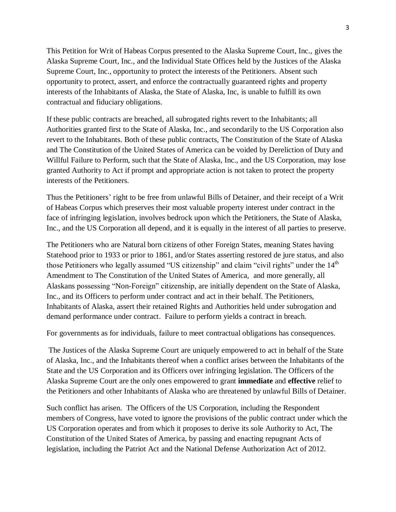This Petition for Writ of Habeas Corpus presented to the Alaska Supreme Court, Inc., gives the Alaska Supreme Court, Inc., and the Individual State Offices held by the Justices of the Alaska Supreme Court, Inc., opportunity to protect the interests of the Petitioners. Absent such opportunity to protect, assert, and enforce the contractually guaranteed rights and property interests of the Inhabitants of Alaska, the State of Alaska, Inc, is unable to fulfill its own contractual and fiduciary obligations.

If these public contracts are breached, all subrogated rights revert to the Inhabitants; all Authorities granted first to the State of Alaska, Inc., and secondarily to the US Corporation also revert to the Inhabitants. Both of these public contracts, The Constitution of the State of Alaska and The Constitution of the United States of America can be voided by Dereliction of Duty and Willful Failure to Perform, such that the State of Alaska, Inc., and the US Corporation, may lose granted Authority to Act if prompt and appropriate action is not taken to protect the property interests of the Petitioners.

Thus the Petitioners' right to be free from unlawful Bills of Detainer, and their receipt of a Writ of Habeas Corpus which preserves their most valuable property interest under contract in the face of infringing legislation, involves bedrock upon which the Petitioners, the State of Alaska, Inc., and the US Corporation all depend, and it is equally in the interest of all parties to preserve.

The Petitioners who are Natural born citizens of other Foreign States, meaning States having Statehood prior to 1933 or prior to 1861, and/or States asserting restored de jure status, and also those Petitioners who legally assumed "US citizenship" and claim "civil rights" under the 14<sup>th</sup> Amendment to The Constitution of the United States of America, and more generally, all Alaskans possessing "Non-Foreign" citizenship, are initially dependent on the State of Alaska, Inc., and its Officers to perform under contract and act in their behalf. The Petitioners, Inhabitants of Alaska, assert their retained Rights and Authorities held under subrogation and demand performance under contract. Failure to perform yields a contract in breach.

For governments as for individuals, failure to meet contractual obligations has consequences.

The Justices of the Alaska Supreme Court are uniquely empowered to act in behalf of the State of Alaska, Inc., and the Inhabitants thereof when a conflict arises between the Inhabitants of the State and the US Corporation and its Officers over infringing legislation. The Officers of the Alaska Supreme Court are the only ones empowered to grant **immediate** and **effective** relief to the Petitioners and other Inhabitants of Alaska who are threatened by unlawful Bills of Detainer.

Such conflict has arisen. The Officers of the US Corporation, including the Respondent members of Congress, have voted to ignore the provisions of the public contract under which the US Corporation operates and from which it proposes to derive its sole Authority to Act, The Constitution of the United States of America, by passing and enacting repugnant Acts of legislation, including the Patriot Act and the National Defense Authorization Act of 2012.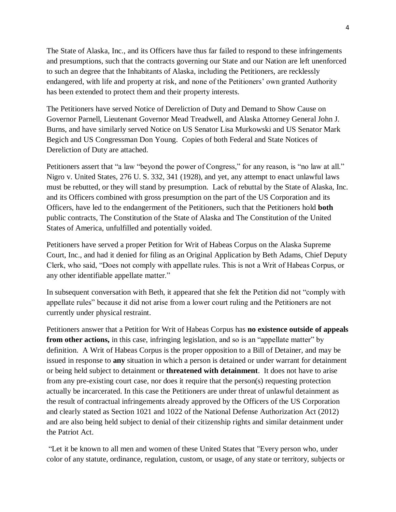The State of Alaska, Inc., and its Officers have thus far failed to respond to these infringements and presumptions, such that the contracts governing our State and our Nation are left unenforced to such an degree that the Inhabitants of Alaska, including the Petitioners, are recklessly endangered, with life and property at risk, and none of the Petitioners' own granted Authority has been extended to protect them and their property interests.

The Petitioners have served Notice of Dereliction of Duty and Demand to Show Cause on Governor Parnell, Lieutenant Governor Mead Treadwell, and Alaska Attorney General John J. Burns, and have similarly served Notice on US Senator Lisa Murkowski and US Senator Mark Begich and US Congressman Don Young. Copies of both Federal and State Notices of Dereliction of Duty are attached.

Petitioners assert that "a law "beyond the power of Congress," for any reason, is "no law at all." Nigro v. United States, 276 U. S. 332, 341 (1928), and yet, any attempt to enact unlawful laws must be rebutted, or they will stand by presumption. Lack of rebuttal by the State of Alaska, Inc. and its Officers combined with gross presumption on the part of the US Corporation and its Officers, have led to the endangerment of the Petitioners, such that the Petitioners hold **both**  public contracts, The Constitution of the State of Alaska and The Constitution of the United States of America, unfulfilled and potentially voided.

Petitioners have served a proper Petition for Writ of Habeas Corpus on the Alaska Supreme Court, Inc., and had it denied for filing as an Original Application by Beth Adams, Chief Deputy Clerk, who said, "Does not comply with appellate rules. This is not a Writ of Habeas Corpus, or any other identifiable appellate matter."

In subsequent conversation with Beth, it appeared that she felt the Petition did not "comply with appellate rules" because it did not arise from a lower court ruling and the Petitioners are not currently under physical restraint.

Petitioners answer that a Petition for Writ of Habeas Corpus has **no existence outside of appeals** from other actions, in this case, infringing legislation, and so is an "appellate matter" by definition. A Writ of Habeas Corpus is the proper opposition to a Bill of Detainer, and may be issued in response to **any** situation in which a person is detained or under warrant for detainment or being held subject to detainment or **threatened with detainment**. It does not have to arise from any pre-existing court case, nor does it require that the person(s) requesting protection actually be incarcerated. In this case the Petitioners are under threat of unlawful detainment as the result of contractual infringements already approved by the Officers of the US Corporation and clearly stated as Section 1021 and 1022 of the National Defense Authorization Act (2012) and are also being held subject to denial of their citizenship rights and similar detainment under the Patriot Act.

"Let it be known to all men and women of these United States that "Every person who, under color of any statute, ordinance, regulation, custom, or usage, of any state or territory, subjects or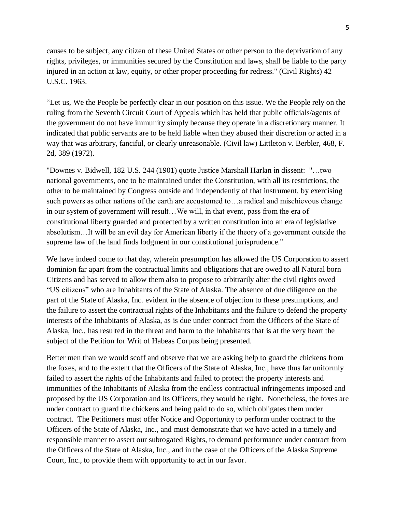causes to be subject, any citizen of these United States or other person to the deprivation of any rights, privileges, or immunities secured by the Constitution and laws, shall be liable to the party injured in an action at law, equity, or other proper proceeding for redress." (Civil Rights) 42 U.S.C. 1963.

"Let us, We the People be perfectly clear in our position on this issue. We the People rely on the ruling from the Seventh Circuit Court of Appeals which has held that public officials/agents of the government do not have immunity simply because they operate in a discretionary manner. It indicated that public servants are to be held liable when they abused their discretion or acted in a way that was arbitrary, fanciful, or clearly unreasonable. (Civil law) Littleton v. Berbler, 468, F. 2d, 389 (1972).

"Downes v. Bidwell, 182 U.S. 244 (1901) quote Justice Marshall Harlan in dissent: "…two national governments, one to be maintained under the Constitution, with all its restrictions, the other to be maintained by Congress outside and independently of that instrument, by exercising such powers as other nations of the earth are accustomed to…a radical and mischievous change in our system of government will result…We will, in that event, pass from the era of constitutional liberty guarded and protected by a written constitution into an era of legislative absolutism…It will be an evil day for American liberty if the theory of a government outside the supreme law of the land finds lodgment in our constitutional jurisprudence."

We have indeed come to that day, wherein presumption has allowed the US Corporation to assert dominion far apart from the contractual limits and obligations that are owed to all Natural born Citizens and has served to allow them also to propose to arbitrarily alter the civil rights owed "US citizens" who are Inhabitants of the State of Alaska. The absence of due diligence on the part of the State of Alaska, Inc. evident in the absence of objection to these presumptions, and the failure to assert the contractual rights of the Inhabitants and the failure to defend the property interests of the Inhabitants of Alaska, as is due under contract from the Officers of the State of Alaska, Inc., has resulted in the threat and harm to the Inhabitants that is at the very heart the subject of the Petition for Writ of Habeas Corpus being presented.

Better men than we would scoff and observe that we are asking help to guard the chickens from the foxes, and to the extent that the Officers of the State of Alaska, Inc., have thus far uniformly failed to assert the rights of the Inhabitants and failed to protect the property interests and immunities of the Inhabitants of Alaska from the endless contractual infringements imposed and proposed by the US Corporation and its Officers, they would be right. Nonetheless, the foxes are under contract to guard the chickens and being paid to do so, which obligates them under contract. The Petitioners must offer Notice and Opportunity to perform under contract to the Officers of the State of Alaska, Inc., and must demonstrate that we have acted in a timely and responsible manner to assert our subrogated Rights, to demand performance under contract from the Officers of the State of Alaska, Inc., and in the case of the Officers of the Alaska Supreme Court, Inc., to provide them with opportunity to act in our favor.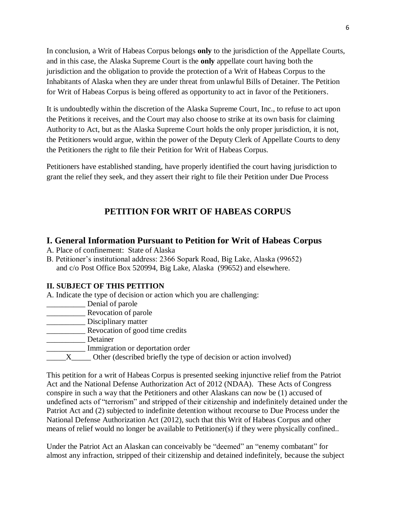In conclusion, a Writ of Habeas Corpus belongs **only** to the jurisdiction of the Appellate Courts, and in this case, the Alaska Supreme Court is the **only** appellate court having both the jurisdiction and the obligation to provide the protection of a Writ of Habeas Corpus to the Inhabitants of Alaska when they are under threat from unlawful Bills of Detainer. The Petition for Writ of Habeas Corpus is being offered as opportunity to act in favor of the Petitioners.

It is undoubtedly within the discretion of the Alaska Supreme Court, Inc., to refuse to act upon the Petitions it receives, and the Court may also choose to strike at its own basis for claiming Authority to Act, but as the Alaska Supreme Court holds the only proper jurisdiction, it is not, the Petitioners would argue, within the power of the Deputy Clerk of Appellate Courts to deny the Petitioners the right to file their Petition for Writ of Habeas Corpus.

Petitioners have established standing, have properly identified the court having jurisdiction to grant the relief they seek, and they assert their right to file their Petition under Due Process

# **PETITION FOR WRIT OF HABEAS CORPUS**

# **I. General Information Pursuant to Petition for Writ of Habeas Corpus**

- A. Place of confinement: State of Alaska
- B. Petitioner's institutional address: 2366 Sopark Road, Big Lake, Alaska (99652) and c/o Post Office Box 520994, Big Lake, Alaska (99652) and elsewhere.

### **II. SUBJECT OF THIS PETITION**

- A. Indicate the type of decision or action which you are challenging:
- \_\_\_\_\_\_\_\_\_\_ Denial of parole
- **Exercise Revocation of parole**
- Disciplinary matter
- **EXECUTE:** Revocation of good time credits
- Detainer
- \_\_\_\_\_\_\_\_\_\_ Immigration or deportation order
- X\_\_\_\_\_\_\_ Other (described briefly the type of decision or action involved)

This petition for a writ of Habeas Corpus is presented seeking injunctive relief from the Patriot Act and the National Defense Authorization Act of 2012 (NDAA). These Acts of Congress conspire in such a way that the Petitioners and other Alaskans can now be (1) accused of undefined acts of "terrorism" and stripped of their citizenship and indefinitely detained under the Patriot Act and (2) subjected to indefinite detention without recourse to Due Process under the National Defense Authorization Act (2012), such that this Writ of Habeas Corpus and other means of relief would no longer be available to Petitioner(s) if they were physically confined..

Under the Patriot Act an Alaskan can conceivably be "deemed" an "enemy combatant" for almost any infraction, stripped of their citizenship and detained indefinitely, because the subject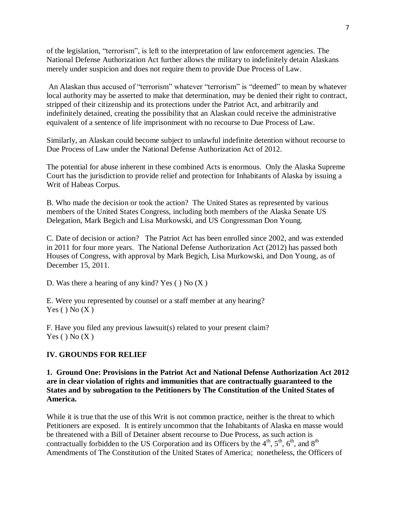of the legislation, "terrorism", is left to the interpretation of law enforcement agencies. The National Defense Authorization Act further allows the military to indefinitely detain Alaskans merely under suspicion and does not require them to provide Due Process of Law.

An Alaskan thus accused of "terrorism" whatever "terrorism" is "deemed" to mean by whatever local authority may be asserted to make that determination, may be denied their right to contract, stripped of their citizenship and its protections under the Patriot Act, and arbitrarily and indefinitely detained, creating the possibility that an Alaskan could receive the administrative equivalent of a sentence of life imprisonment with no recourse to Due Process of Law.

Similarly, an Alaskan could become subject to unlawful indefinite detention without recourse to Due Process of Law under the National Defense Authorization Act of 2012.

The potential for abuse inherent in these combined Acts is enormous. Only the Alaska Supreme Court has the jurisdiction to provide relief and protection for Inhabitants of Alaska by issuing a Writ of Habeas Corpus.

B. Who made the decision or took the action? The United States as represented by various members of the United States Congress, including both members of the Alaska Senate US Delegation, Mark Begich and Lisa Murkowski, and US Congressman Don Young.

C. Date of decision or action? The Patriot Act has been enrolled since 2002, and was extended in 2011 for four more years. The National Defense Authorization Act (2012) has passed both Houses of Congress, with approval by Mark Begich, Lisa Murkowski, and Don Young, as of December 15, 2011.

D. Was there a hearing of any kind? Yes  $()$  No  $(X)$ 

E. Were you represented by counsel or a staff member at any hearing?  $Yes() No(X)$ 

F. Have you filed any previous lawsuit(s) related to your present claim?  $Yes() No(X)$ 

#### **IV. GROUNDS FOR RELIEF**

**1. Ground One: Provisions in the Patriot Act and National Defense Authorization Act 2012 are in clear violation of rights and immunities that are contractually guaranteed to the States and by subrogation to the Petitioners by The Constitution of the United States of America.** 

While it is true that the use of this Writ is not common practice, neither is the threat to which Petitioners are exposed. It is entirely uncommon that the Inhabitants of Alaska en masse would be threatened with a Bill of Detainer absent recourse to Due Process, as such action is contractually forbidden to the US Corporation and its Officers by the  $4<sup>th</sup>$ ,  $5<sup>th</sup>$ ,  $6<sup>th</sup>$ , and  $8<sup>th</sup>$ Amendments of The Constitution of the United States of America; nonetheless, the Officers of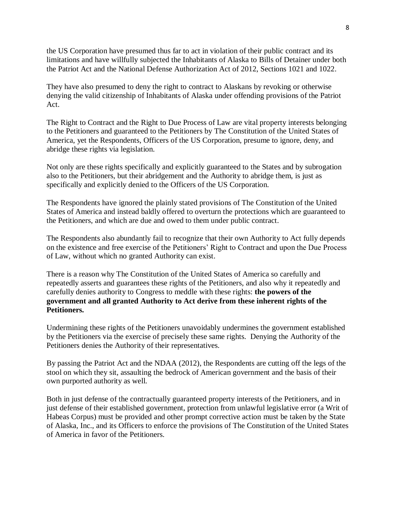the US Corporation have presumed thus far to act in violation of their public contract and its limitations and have willfully subjected the Inhabitants of Alaska to Bills of Detainer under both the Patriot Act and the National Defense Authorization Act of 2012, Sections 1021 and 1022.

They have also presumed to deny the right to contract to Alaskans by revoking or otherwise denying the valid citizenship of Inhabitants of Alaska under offending provisions of the Patriot Act.

The Right to Contract and the Right to Due Process of Law are vital property interests belonging to the Petitioners and guaranteed to the Petitioners by The Constitution of the United States of America, yet the Respondents, Officers of the US Corporation, presume to ignore, deny, and abridge these rights via legislation.

Not only are these rights specifically and explicitly guaranteed to the States and by subrogation also to the Petitioners, but their abridgement and the Authority to abridge them, is just as specifically and explicitly denied to the Officers of the US Corporation.

The Respondents have ignored the plainly stated provisions of The Constitution of the United States of America and instead baldly offered to overturn the protections which are guaranteed to the Petitioners, and which are due and owed to them under public contract.

The Respondents also abundantly fail to recognize that their own Authority to Act fully depends on the existence and free exercise of the Petitioners' Right to Contract and upon the Due Process of Law, without which no granted Authority can exist.

There is a reason why The Constitution of the United States of America so carefully and repeatedly asserts and guarantees these rights of the Petitioners, and also why it repeatedly and carefully denies authority to Congress to meddle with these rights: **the powers of the government and all granted Authority to Act derive from these inherent rights of the Petitioners.**

Undermining these rights of the Petitioners unavoidably undermines the government established by the Petitioners via the exercise of precisely these same rights. Denying the Authority of the Petitioners denies the Authority of their representatives.

By passing the Patriot Act and the NDAA (2012), the Respondents are cutting off the legs of the stool on which they sit, assaulting the bedrock of American government and the basis of their own purported authority as well.

Both in just defense of the contractually guaranteed property interests of the Petitioners, and in just defense of their established government, protection from unlawful legislative error (a Writ of Habeas Corpus) must be provided and other prompt corrective action must be taken by the State of Alaska, Inc., and its Officers to enforce the provisions of The Constitution of the United States of America in favor of the Petitioners.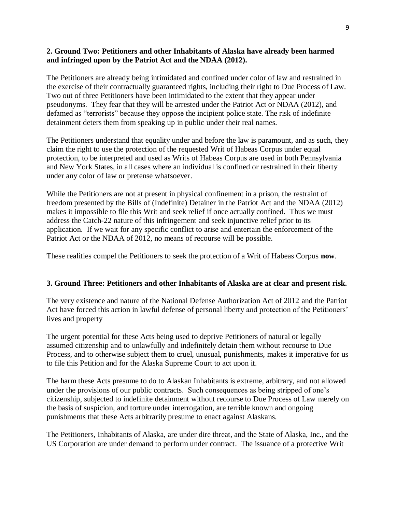#### **2. Ground Two: Petitioners and other Inhabitants of Alaska have already been harmed and infringed upon by the Patriot Act and the NDAA (2012).**

The Petitioners are already being intimidated and confined under color of law and restrained in the exercise of their contractually guaranteed rights, including their right to Due Process of Law. Two out of three Petitioners have been intimidated to the extent that they appear under pseudonyms. They fear that they will be arrested under the Patriot Act or NDAA (2012), and defamed as "terrorists" because they oppose the incipient police state. The risk of indefinite detainment deters them from speaking up in public under their real names.

The Petitioners understand that equality under and before the law is paramount, and as such, they claim the right to use the protection of the requested Writ of Habeas Corpus under equal protection, to be interpreted and used as Writs of Habeas Corpus are used in both Pennsylvania and New York States, in all cases where an individual is confined or restrained in their liberty under any color of law or pretense whatsoever.

While the Petitioners are not at present in physical confinement in a prison, the restraint of freedom presented by the Bills of (Indefinite) Detainer in the Patriot Act and the NDAA (2012) makes it impossible to file this Writ and seek relief if once actually confined. Thus we must address the Catch-22 nature of this infringement and seek injunctive relief prior to its application. If we wait for any specific conflict to arise and entertain the enforcement of the Patriot Act or the NDAA of 2012, no means of recourse will be possible.

These realities compel the Petitioners to seek the protection of a Writ of Habeas Corpus **now**.

#### **3. Ground Three: Petitioners and other Inhabitants of Alaska are at clear and present risk.**

The very existence and nature of the National Defense Authorization Act of 2012 and the Patriot Act have forced this action in lawful defense of personal liberty and protection of the Petitioners' lives and property

The urgent potential for these Acts being used to deprive Petitioners of natural or legally assumed citizenship and to unlawfully and indefinitely detain them without recourse to Due Process, and to otherwise subject them to cruel, unusual, punishments, makes it imperative for us to file this Petition and for the Alaska Supreme Court to act upon it.

The harm these Acts presume to do to Alaskan Inhabitants is extreme, arbitrary, and not allowed under the provisions of our public contracts. Such consequences as being stripped of one's citizenship, subjected to indefinite detainment without recourse to Due Process of Law merely on the basis of suspicion, and torture under interrogation, are terrible known and ongoing punishments that these Acts arbitrarily presume to enact against Alaskans.

The Petitioners, Inhabitants of Alaska, are under dire threat, and the State of Alaska, Inc., and the US Corporation are under demand to perform under contract. The issuance of a protective Writ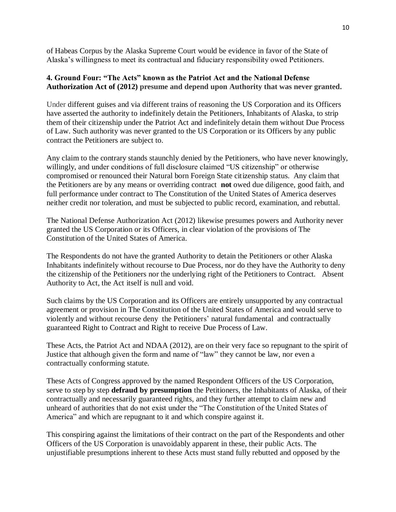of Habeas Corpus by the Alaska Supreme Court would be evidence in favor of the State of Alaska's willingness to meet its contractual and fiduciary responsibility owed Petitioners.

### **4. Ground Four: "The Acts" known as the Patriot Act and the National Defense Authorization Act of (2012) presume and depend upon Authority that was never granted.**

Under different guises and via different trains of reasoning the US Corporation and its Officers have asserted the authority to indefinitely detain the Petitioners, Inhabitants of Alaska, to strip them of their citizenship under the Patriot Act and indefinitely detain them without Due Process of Law. Such authority was never granted to the US Corporation or its Officers by any public contract the Petitioners are subject to.

Any claim to the contrary stands staunchly denied by the Petitioners, who have never knowingly, willingly, and under conditions of full disclosure claimed "US citizenship" or otherwise compromised or renounced their Natural born Foreign State citizenship status. Any claim that the Petitioners are by any means or overriding contract **not** owed due diligence, good faith, and full performance under contract to The Constitution of the United States of America deserves neither credit nor toleration, and must be subjected to public record, examination, and rebuttal.

The National Defense Authorization Act (2012) likewise presumes powers and Authority never granted the US Corporation or its Officers, in clear violation of the provisions of The Constitution of the United States of America.

The Respondents do not have the granted Authority to detain the Petitioners or other Alaska Inhabitants indefinitely without recourse to Due Process, nor do they have the Authority to deny the citizenship of the Petitioners nor the underlying right of the Petitioners to Contract. Absent Authority to Act, the Act itself is null and void.

Such claims by the US Corporation and its Officers are entirely unsupported by any contractual agreement or provision in The Constitution of the United States of America and would serve to violently and without recourse deny the Petitioners' natural fundamental and contractually guaranteed Right to Contract and Right to receive Due Process of Law.

These Acts, the Patriot Act and NDAA (2012), are on their very face so repugnant to the spirit of Justice that although given the form and name of "law" they cannot be law, nor even a contractually conforming statute.

These Acts of Congress approved by the named Respondent Officers of the US Corporation, serve to step by step **defraud by presumption** the Petitioners, the Inhabitants of Alaska, of their contractually and necessarily guaranteed rights, and they further attempt to claim new and unheard of authorities that do not exist under the "The Constitution of the United States of America" and which are repugnant to it and which conspire against it.

This conspiring against the limitations of their contract on the part of the Respondents and other Officers of the US Corporation is unavoidably apparent in these, their public Acts. The unjustifiable presumptions inherent to these Acts must stand fully rebutted and opposed by the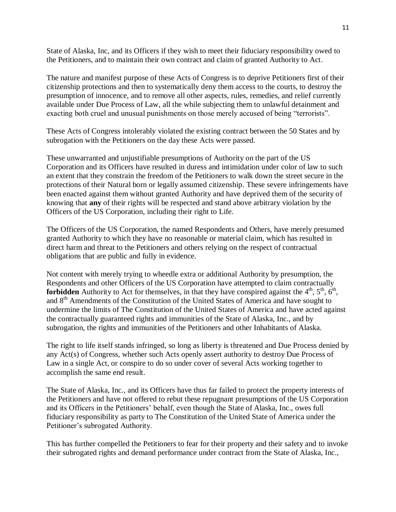State of Alaska, Inc, and its Officers if they wish to meet their fiduciary responsibility owed to the Petitioners, and to maintain their own contract and claim of granted Authority to Act.

The nature and manifest purpose of these Acts of Congress is to deprive Petitioners first of their citizenship protections and then to systematically deny them access to the courts, to destroy the presumption of innocence, and to remove all other aspects, rules, remedies, and relief currently available under Due Process of Law, all the while subjecting them to unlawful detainment and exacting both cruel and unusual punishments on those merely accused of being "terrorists".

These Acts of Congress intolerably violated the existing contract between the 50 States and by subrogation with the Petitioners on the day these Acts were passed.

These unwarranted and unjustifiable presumptions of Authority on the part of the US Corporation and its Officers have resulted in duress and intimidation under color of law to such an extent that they constrain the freedom of the Petitioners to walk down the street secure in the protections of their Natural born or legally assumed citizenship. These severe infringements have been enacted against them without granted Authority and have deprived them of the security of knowing that **any** of their rights will be respected and stand above arbitrary violation by the Officers of the US Corporation, including their right to Life.

The Officers of the US Corporation, the named Respondents and Others, have merely presumed granted Authority to which they have no reasonable or material claim, which has resulted in direct harm and threat to the Petitioners and others relying on the respect of contractual obligations that are public and fully in evidence.

Not content with merely trying to wheedle extra or additional Authority by presumption, the Respondents and other Officers of the US Corporation have attempted to claim contractually **forbidden** Authority to Act for themselves, in that they have conspired against the  $4<sup>th</sup>$ ,  $5<sup>th</sup>$ ,  $6<sup>th</sup>$ , and 8<sup>th</sup> Amendments of the Constitution of the United States of America and have sought to undermine the limits of The Constitution of the United States of America and have acted against the contractually guaranteed rights and immunities of the State of Alaska, Inc., and by subrogation, the rights and immunities of the Petitioners and other Inhabitants of Alaska.

The right to life itself stands infringed, so long as liberty is threatened and Due Process denied by any Act(s) of Congress, whether such Acts openly assert authority to destroy Due Process of Law in a single Act, or conspire to do so under cover of several Acts working together to accomplish the same end result.

The State of Alaska, Inc., and its Officers have thus far failed to protect the property interests of the Petitioners and have not offered to rebut these repugnant presumptions of the US Corporation and its Officers in the Petitioners' behalf, even though the State of Alaska, Inc., owes full fiduciary responsibility as party to The Constitution of the United State of America under the Petitioner's subrogated Authority.

This has further compelled the Petitioners to fear for their property and their safety and to invoke their subrogated rights and demand performance under contract from the State of Alaska, Inc.,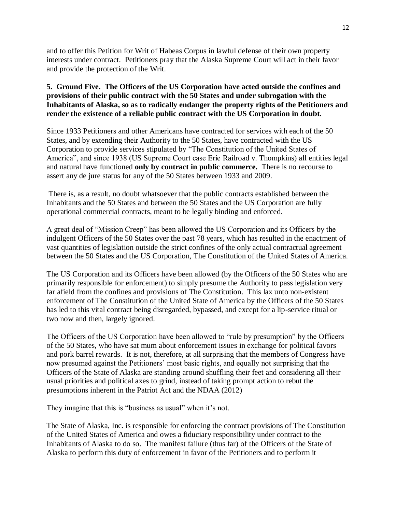and to offer this Petition for Writ of Habeas Corpus in lawful defense of their own property interests under contract. Petitioners pray that the Alaska Supreme Court will act in their favor and provide the protection of the Writ.

### **5. Ground Five. The Officers of the US Corporation have acted outside the confines and provisions of their public contract with the 50 States and under subrogation with the Inhabitants of Alaska, so as to radically endanger the property rights of the Petitioners and render the existence of a reliable public contract with the US Corporation in doubt.**

Since 1933 Petitioners and other Americans have contracted for services with each of the 50 States, and by extending their Authority to the 50 States, have contracted with the US Corporation to provide services stipulated by "The Constitution of the United States of America", and since 1938 (US Supreme Court case Erie Railroad v. Thompkins) all entities legal and natural have functioned **only by contract in public commerce.** There is no recourse to assert any de jure status for any of the 50 States between 1933 and 2009.

There is, as a result, no doubt whatsoever that the public contracts established between the Inhabitants and the 50 States and between the 50 States and the US Corporation are fully operational commercial contracts, meant to be legally binding and enforced.

A great deal of "Mission Creep" has been allowed the US Corporation and its Officers by the indulgent Officers of the 50 States over the past 78 years, which has resulted in the enactment of vast quantities of legislation outside the strict confines of the only actual contractual agreement between the 50 States and the US Corporation, The Constitution of the United States of America.

The US Corporation and its Officers have been allowed (by the Officers of the 50 States who are primarily responsible for enforcement) to simply presume the Authority to pass legislation very far afield from the confines and provisions of The Constitution. This lax unto non-existent enforcement of The Constitution of the United State of America by the Officers of the 50 States has led to this vital contract being disregarded, bypassed, and except for a lip-service ritual or two now and then, largely ignored.

The Officers of the US Corporation have been allowed to "rule by presumption" by the Officers of the 50 States, who have sat mum about enforcement issues in exchange for political favors and pork barrel rewards. It is not, therefore, at all surprising that the members of Congress have now presumed against the Petitioners' most basic rights, and equally not surprising that the Officers of the State of Alaska are standing around shuffling their feet and considering all their usual priorities and political axes to grind, instead of taking prompt action to rebut the presumptions inherent in the Patriot Act and the NDAA (2012)

They imagine that this is "business as usual" when it's not.

The State of Alaska, Inc. is responsible for enforcing the contract provisions of The Constitution of the United States of America and owes a fiduciary responsibility under contract to the Inhabitants of Alaska to do so. The manifest failure (thus far) of the Officers of the State of Alaska to perform this duty of enforcement in favor of the Petitioners and to perform it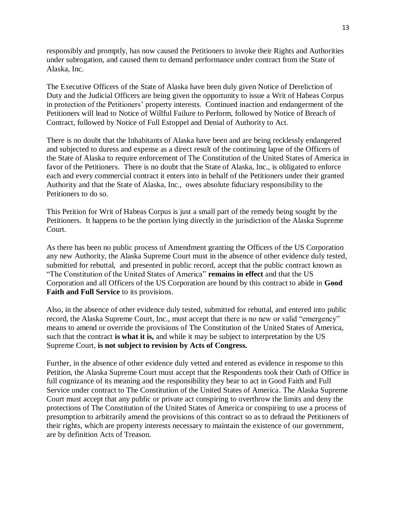responsibly and promptly, has now caused the Petitioners to invoke their Rights and Authorities under subrogation, and caused them to demand performance under contract from the State of Alaska, Inc.

The Executive Officers of the State of Alaska have been duly given Notice of Dereliction of Duty and the Judicial Officers are being given the opportunity to issue a Writ of Habeas Corpus in protection of the Petitioners' property interests. Continued inaction and endangerment of the Petitioners will lead to Notice of Willful Failure to Perform, followed by Notice of Breach of Contract, followed by Notice of Full Estoppel and Denial of Authority to Act.

There is no doubt that the Inhabitants of Alaska have been and are being recklessly endangered and subjected to duress and expense as a direct result of the continuing lapse of the Officers of the State of Alaska to require enforcement of The Constitution of the United States of America in favor of the Petitioners. There is no doubt that the State of Alaska, Inc., is obligated to enforce each and every commercial contract it enters into in behalf of the Petitioners under their granted Authority and that the State of Alaska, Inc., owes absolute fiduciary responsibility to the Petitioners to do so.

This Petition for Writ of Habeas Corpus is just a small part of the remedy being sought by the Petitioners. It happens to be the portion lying directly in the jurisdiction of the Alaska Supreme Court.

As there has been no public process of Amendment granting the Officers of the US Corporation any new Authority, the Alaska Supreme Court must in the absence of other evidence duly tested, submitted for rebuttal, and presented in public record, accept that the public contract known as "The Constitution of the United States of America" **remains in effect** and that the US Corporation and all Officers of the US Corporation are bound by this contract to abide in **Good Faith and Full Service** to its provisions.

Also, in the absence of other evidence duly tested, submitted for rebuttal, and entered into public record, the Alaska Supreme Court, Inc., must accept that there is no new or valid "emergency" means to amend or override the provisions of The Constitution of the United States of America, such that the contract **is what it is,** and while it may be subject to interpretation by the US Supreme Court, **is not subject to revision by Acts of Congress.** 

Further, in the absence of other evidence duly vetted and entered as evidence in response to this Petition, the Alaska Supreme Court must accept that the Respondents took their Oath of Office in full cognizance of its meaning and the responsibility they bear to act in Good Faith and Full Service under contract to The Constitution of the United States of America. The Alaska Supreme Court must accept that any public or private act conspiring to overthrow the limits and deny the protections of The Constitution of the United States of America or conspiring to use a process of presumption to arbitrarily amend the provisions of this contract so as to defraud the Petitioners of their rights, which are property interests necessary to maintain the existence of our government, are by definition Acts of Treason.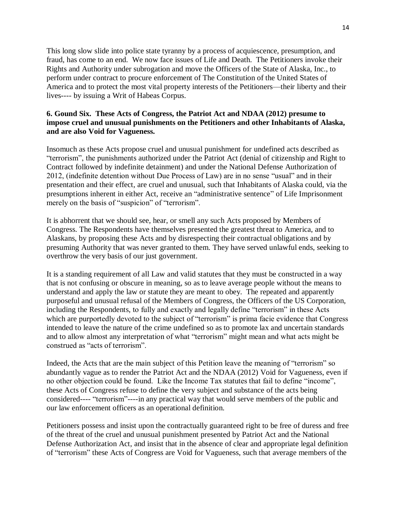This long slow slide into police state tyranny by a process of acquiescence, presumption, and fraud, has come to an end. We now face issues of Life and Death. The Petitioners invoke their Rights and Authority under subrogation and move the Officers of the State of Alaska, Inc., to perform under contract to procure enforcement of The Constitution of the United States of America and to protect the most vital property interests of the Petitioners—their liberty and their lives---- by issuing a Writ of Habeas Corpus.

#### **6. Gound Six. These Acts of Congress, the Patriot Act and NDAA (2012) presume to impose cruel and unusual punishments on the Petitioners and other Inhabitants of Alaska, and are also Void for Vagueness.**

Insomuch as these Acts propose cruel and unusual punishment for undefined acts described as "terrorism", the punishments authorized under the Patriot Act (denial of citizenship and Right to Contract followed by indefinite detainment) and under the National Defense Authorization of 2012, (indefinite detention without Due Process of Law) are in no sense "usual" and in their presentation and their effect, are cruel and unusual, such that Inhabitants of Alaska could, via the presumptions inherent in either Act, receive an "administrative sentence" of Life Imprisonment merely on the basis of "suspicion" of "terrorism".

It is abhorrent that we should see, hear, or smell any such Acts proposed by Members of Congress. The Respondents have themselves presented the greatest threat to America, and to Alaskans, by proposing these Acts and by disrespecting their contractual obligations and by presuming Authority that was never granted to them. They have served unlawful ends, seeking to overthrow the very basis of our just government.

It is a standing requirement of all Law and valid statutes that they must be constructed in a way that is not confusing or obscure in meaning, so as to leave average people without the means to understand and apply the law or statute they are meant to obey. The repeated and apparently purposeful and unusual refusal of the Members of Congress, the Officers of the US Corporation, including the Respondents, to fully and exactly and legally define "terrorism" in these Acts which are purportedly devoted to the subject of "terrorism" is prima facie evidence that Congress intended to leave the nature of the crime undefined so as to promote lax and uncertain standards and to allow almost any interpretation of what "terrorism" might mean and what acts might be construed as "acts of terrorism".

Indeed, the Acts that are the main subject of this Petition leave the meaning of "terrorism" so abundantly vague as to render the Patriot Act and the NDAA (2012) Void for Vagueness, even if no other objection could be found. Like the Income Tax statutes that fail to define "income", these Acts of Congress refuse to define the very subject and substance of the acts being considered---- "terrorism"----in any practical way that would serve members of the public and our law enforcement officers as an operational definition.

Petitioners possess and insist upon the contractually guaranteed right to be free of duress and free of the threat of the cruel and unusual punishment presented by Patriot Act and the National Defense Authorization Act, and insist that in the absence of clear and appropriate legal definition of "terrorism" these Acts of Congress are Void for Vagueness, such that average members of the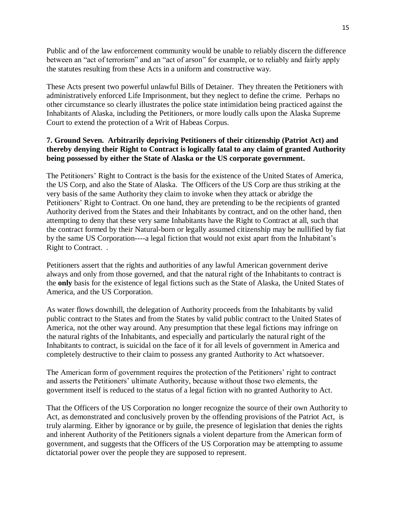Public and of the law enforcement community would be unable to reliably discern the difference between an "act of terrorism" and an "act of arson" for example, or to reliably and fairly apply the statutes resulting from these Acts in a uniform and constructive way.

These Acts present two powerful unlawful Bills of Detainer. They threaten the Petitioners with administratively enforced Life Imprisonment, but they neglect to define the crime. Perhaps no other circumstance so clearly illustrates the police state intimidation being practiced against the Inhabitants of Alaska, including the Petitioners, or more loudly calls upon the Alaska Supreme Court to extend the protection of a Writ of Habeas Corpus.

### **7. Ground Seven. Arbitrarily depriving Petitioners of their citizenship (Patriot Act) and thereby denying their Right to Contract is logically fatal to any claim of granted Authority being possessed by either the State of Alaska or the US corporate government.**

The Petitioners' Right to Contract is the basis for the existence of the United States of America, the US Corp, and also the State of Alaska. The Officers of the US Corp are thus striking at the very basis of the same Authority they claim to invoke when they attack or abridge the Petitioners' Right to Contract. On one hand, they are pretending to be the recipients of granted Authority derived from the States and their Inhabitants by contract, and on the other hand, then attempting to deny that these very same Inhabitants have the Right to Contract at all, such that the contract formed by their Natural-born or legally assumed citizenship may be nullified by fiat by the same US Corporation----a legal fiction that would not exist apart from the Inhabitant's Right to Contract. .

Petitioners assert that the rights and authorities of any lawful American government derive always and only from those governed, and that the natural right of the Inhabitants to contract is the **only** basis for the existence of legal fictions such as the State of Alaska, the United States of America, and the US Corporation.

As water flows downhill, the delegation of Authority proceeds from the Inhabitants by valid public contract to the States and from the States by valid public contract to the United States of America, not the other way around. Any presumption that these legal fictions may infringe on the natural rights of the Inhabitants, and especially and particularly the natural right of the Inhabitants to contract, is suicidal on the face of it for all levels of government in America and completely destructive to their claim to possess any granted Authority to Act whatsoever.

The American form of government requires the protection of the Petitioners' right to contract and asserts the Petitioners' ultimate Authority, because without those two elements, the government itself is reduced to the status of a legal fiction with no granted Authority to Act.

That the Officers of the US Corporation no longer recognize the source of their own Authority to Act, as demonstrated and conclusively proven by the offending provisions of the Patriot Act, is truly alarming. Either by ignorance or by guile, the presence of legislation that denies the rights and inherent Authority of the Petitioners signals a violent departure from the American form of government, and suggests that the Officers of the US Corporation may be attempting to assume dictatorial power over the people they are supposed to represent.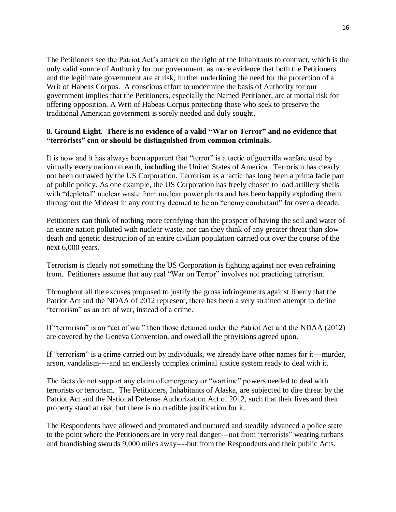The Petitioners see the Patriot Act's attack on the right of the Inhabitants to contract, which is the only valid source of Authority for our government, as more evidence that both the Petitioners and the legitimate government are at risk, further underlining the need for the protection of a Writ of Habeas Corpus. A conscious effort to undermine the basis of Authority for our government implies that the Petitioners, especially the Named Petitioner, are at mortal risk for offering opposition. A Writ of Habeas Corpus protecting those who seek to preserve the traditional American government is sorely needed and duly sought.

### **8. Ground Eight. There is no evidence of a valid "War on Terror" and no evidence that "terrorists" can or should be distinguished from common criminals.**

It is now and it has always been apparent that "terror" is a tactic of guerrilla warfare used by virtually every nation on earth, **including** the United States of America. Terrorism has clearly not been outlawed by the US Corporation. Terrorism as a tactic has long been a prima facie part of public policy. As one example, the US Corporation has freely chosen to load artillery shells with "depleted" nuclear waste from nuclear power plants and has been happily exploding them throughout the Mideast in any country deemed to be an "enemy combatant" for over a decade.

Petitioners can think of nothing more terrifying than the prospect of having the soil and water of an entire nation polluted with nuclear waste, nor can they think of any greater threat than slow death and genetic destruction of an entire civilian population carried out over the course of the next 6,000 years.

Terrorism is clearly not something the US Corporation is fighting against nor even refraining from. Petitioners assume that any real "War on Terror" involves not practicing terrorism.

Throughout all the excuses proposed to justify the gross infringements against liberty that the Patriot Act and the NDAA of 2012 represent, there has been a very strained attempt to define "terrorism" as an act of war, instead of a crime.

If "terrorism" is an "act of war" then those detained under the Patriot Act and the NDAA (2012) are covered by the Geneva Convention, and owed all the provisions agreed upon.

If "terrorism" is a crime carried out by individuals, we already have other names for it---murder, arson, vandalism----and an endlessly complex criminal justice system ready to deal with it.

The facts do not support any claim of emergency or "wartime" powers needed to deal with terrorists or terrorism. The Petitioners, Inhabitants of Alaska, are subjected to dire threat by the Patriot Act and the National Defense Authorization Act of 2012, such that their lives and their property stand at risk, but there is no credible justification for it.

The Respondents have allowed and promoted and nurtured and steadily advanced a police state to the point where the Petitioners are in very real danger---not from "terrorists" wearing turbans and brandishing swords 9,000 miles away----but from the Respondents and their public Acts.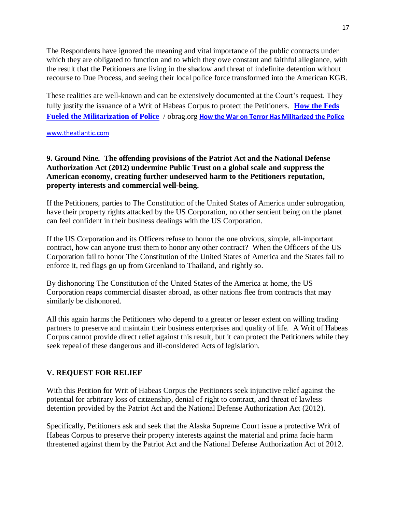The Respondents have ignored the meaning and vital importance of the public contracts under which they are obligated to function and to which they owe constant and faithful allegiance, with the result that the Petitioners are living in the shadow and threat of indefinite detention without recourse to Due Process, and seeing their local police force transformed into the American KGB.

These realities are well-known and can be extensively documented at the Court's request. They fully justify the issuance of a Writ of Habeas Corpus to protect the Petitioners. **[How the Feds](http://obrag.org/?p=51794&utm_source=feedburner&utm_medium=email&utm_campaign=Feed%3A+obrag%2FIrDB+%28OB+Rag%29)  [Fueled the Militarization of Police](http://obrag.org/?p=51794&utm_source=feedburner&utm_medium=email&utm_campaign=Feed%3A+obrag%2FIrDB+%28OB+Rag%29)** / obrag.org **[How the War on Terror Has Militarized the Police](http://www.theatlantic.com/national/archive/2011/11/how-the-war-on-terror-has-militarized-the-police/248047/#.TwD8VG5Oz_w.facebook)**

[www.theatlantic.com](http://www.theatlantic.com/)

#### **9. Ground Nine. The offending provisions of the Patriot Act and the National Defense Authorization Act (2012) undermine Public Trust on a global scale and suppress the American economy, creating further undeserved harm to the Petitioners reputation, property interests and commercial well-being.**

If the Petitioners, parties to The Constitution of the United States of America under subrogation, have their property rights attacked by the US Corporation, no other sentient being on the planet can feel confident in their business dealings with the US Corporation.

If the US Corporation and its Officers refuse to honor the one obvious, simple, all-important contract, how can anyone trust them to honor any other contract? When the Officers of the US Corporation fail to honor The Constitution of the United States of America and the States fail to enforce it, red flags go up from Greenland to Thailand, and rightly so.

By dishonoring The Constitution of the United States of the America at home, the US Corporation reaps commercial disaster abroad, as other nations flee from contracts that may similarly be dishonored.

All this again harms the Petitioners who depend to a greater or lesser extent on willing trading partners to preserve and maintain their business enterprises and quality of life. A Writ of Habeas Corpus cannot provide direct relief against this result, but it can protect the Petitioners while they seek repeal of these dangerous and ill-considered Acts of legislation.

### **V. REQUEST FOR RELIEF**

With this Petition for Writ of Habeas Corpus the Petitioners seek injunctive relief against the potential for arbitrary loss of citizenship, denial of right to contract, and threat of lawless detention provided by the Patriot Act and the National Defense Authorization Act (2012).

Specifically, Petitioners ask and seek that the Alaska Supreme Court issue a protective Writ of Habeas Corpus to preserve their property interests against the material and prima facie harm threatened against them by the Patriot Act and the National Defense Authorization Act of 2012.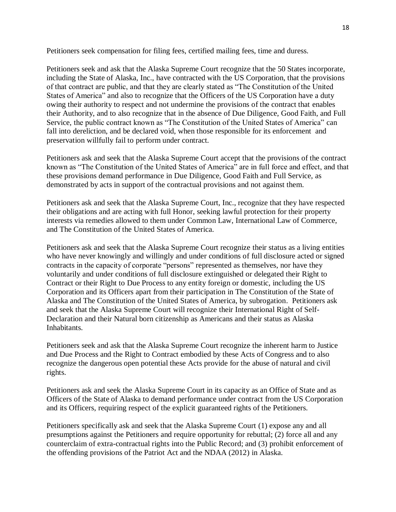Petitioners seek compensation for filing fees, certified mailing fees, time and duress.

Petitioners seek and ask that the Alaska Supreme Court recognize that the 50 States incorporate, including the State of Alaska, Inc., have contracted with the US Corporation, that the provisions of that contract are public, and that they are clearly stated as "The Constitution of the United States of America" and also to recognize that the Officers of the US Corporation have a duty owing their authority to respect and not undermine the provisions of the contract that enables their Authority, and to also recognize that in the absence of Due Diligence, Good Faith, and Full Service, the public contract known as "The Constitution of the United States of America" can fall into dereliction, and be declared void, when those responsible for its enforcement and preservation willfully fail to perform under contract.

Petitioners ask and seek that the Alaska Supreme Court accept that the provisions of the contract known as "The Constitution of the United States of America" are in full force and effect, and that these provisions demand performance in Due Diligence, Good Faith and Full Service, as demonstrated by acts in support of the contractual provisions and not against them.

Petitioners ask and seek that the Alaska Supreme Court, Inc., recognize that they have respected their obligations and are acting with full Honor, seeking lawful protection for their property interests via remedies allowed to them under Common Law, International Law of Commerce, and The Constitution of the United States of America.

Petitioners ask and seek that the Alaska Supreme Court recognize their status as a living entities who have never knowingly and willingly and under conditions of full disclosure acted or signed contracts in the capacity of corporate "persons" represented as themselves, nor have they voluntarily and under conditions of full disclosure extinguished or delegated their Right to Contract or their Right to Due Process to any entity foreign or domestic, including the US Corporation and its Officers apart from their participation in The Constitution of the State of Alaska and The Constitution of the United States of America, by subrogation. Petitioners ask and seek that the Alaska Supreme Court will recognize their International Right of Self-Declaration and their Natural born citizenship as Americans and their status as Alaska Inhabitants.

Petitioners seek and ask that the Alaska Supreme Court recognize the inherent harm to Justice and Due Process and the Right to Contract embodied by these Acts of Congress and to also recognize the dangerous open potential these Acts provide for the abuse of natural and civil rights.

Petitioners ask and seek the Alaska Supreme Court in its capacity as an Office of State and as Officers of the State of Alaska to demand performance under contract from the US Corporation and its Officers, requiring respect of the explicit guaranteed rights of the Petitioners.

Petitioners specifically ask and seek that the Alaska Supreme Court (1) expose any and all presumptions against the Petitioners and require opportunity for rebuttal; (2) force all and any counterclaim of extra-contractual rights into the Public Record; and (3) prohibit enforcement of the offending provisions of the Patriot Act and the NDAA (2012) in Alaska.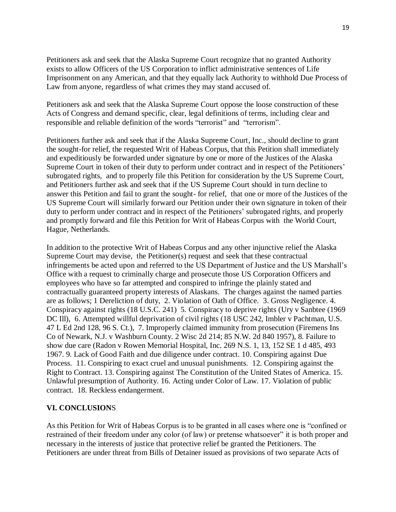Petitioners ask and seek that the Alaska Supreme Court recognize that no granted Authority exists to allow Officers of the US Corporation to inflict administrative sentences of Life Imprisonment on any American, and that they equally lack Authority to withhold Due Process of Law from anyone, regardless of what crimes they may stand accused of.

Petitioners ask and seek that the Alaska Supreme Court oppose the loose construction of these Acts of Congress and demand specific, clear, legal definitions of terms, including clear and responsible and reliable definition of the words "terrorist" and "terrorism".

Petitioners further ask and seek that if the Alaska Supreme Court, Inc., should decline to grant the sought-for relief, the requested Writ of Habeas Corpus, that this Petition shall immediately and expeditiously be forwarded under signature by one or more of the Justices of the Alaska Supreme Court in token of their duty to perform under contract and in respect of the Petitioners' subrogated rights, and to properly file this Petition for consideration by the US Supreme Court, and Petitioners further ask and seek that if the US Supreme Court should in turn decline to answer this Petition and fail to grant the sought- for relief, that one or more of the Justices of the US Supreme Court will similarly forward our Petition under their own signature in token of their duty to perform under contract and in respect of the Petitioners' subrogated rights, and properly and promptly forward and file this Petition for Writ of Habeas Corpus with the World Court, Hague, Netherlands.

In addition to the protective Writ of Habeas Corpus and any other injunctive relief the Alaska Supreme Court may devise, the Petitioner(s) request and seek that these contractual infringements be acted upon and referred to the US Department of Justice and the US Marshall's Office with a request to criminally charge and prosecute those US Corporation Officers and employees who have so far attempted and conspired to infringe the plainly stated and contractually guaranteed property interests of Alaskans. The charges against the named parties are as follows; 1 Dereliction of duty, 2. Violation of Oath of Office. 3. Gross Negligence. 4. Conspiracy against rights (18 U.S.C. 241) 5. Conspiracy to deprive rights (Ury v Sanbtee (1969 DC III), 6. Attempted willful deprivation of civil rights (18 USC 242, Imbler v Pachtman, U.S. 47 L Ed 2nd 128, 96 S. Ct.), 7. Improperly claimed immunity from prosecution (Firemens Ins Co of Newark, N.J. v Washburn County. 2 Wisc 2d 214; 85 N.W. 2d 840 1957), 8. Failure to show due care (Radon v Rowen Memorial Hospital, Inc. 269 N.S. 1, 13, 152 SE 1 d 485, 493 1967. 9. Lack of Good Faith and due diligence under contract. 10. Conspiring against Due Process. 11. Conspiring to exact cruel and unusual punishments. 12. Conspiring against the Right to Contract. 13. Conspiring against The Constitution of the United States of America. 15. Unlawful presumption of Authority. 16. Acting under Color of Law. 17. Violation of public contract. 18. Reckless endangerment.

#### **VI. CONCLUSION**S

As this Petition for Writ of Habeas Corpus is to be granted in all cases where one is "confined or restrained of their freedom under any color (of law) or pretense whatsoever" it is both proper and necessary in the interests of justice that protective relief be granted the Petitioners. The Petitioners are under threat from Bills of Detainer issued as provisions of two separate Acts of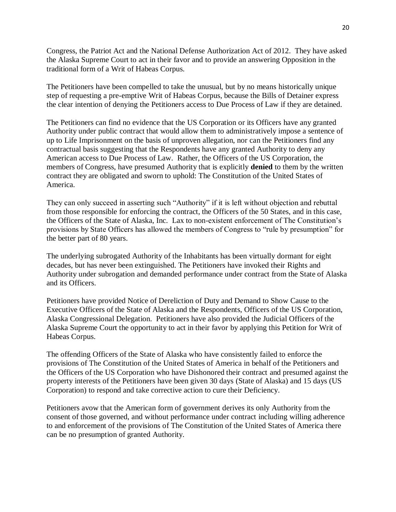Congress, the Patriot Act and the National Defense Authorization Act of 2012. They have asked the Alaska Supreme Court to act in their favor and to provide an answering Opposition in the traditional form of a Writ of Habeas Corpus.

The Petitioners have been compelled to take the unusual, but by no means historically unique step of requesting a pre-emptive Writ of Habeas Corpus, because the Bills of Detainer express the clear intention of denying the Petitioners access to Due Process of Law if they are detained.

The Petitioners can find no evidence that the US Corporation or its Officers have any granted Authority under public contract that would allow them to administratively impose a sentence of up to Life Imprisonment on the basis of unproven allegation, nor can the Petitioners find any contractual basis suggesting that the Respondents have any granted Authority to deny any American access to Due Process of Law. Rather, the Officers of the US Corporation, the members of Congress, have presumed Authority that is explicitly **denied** to them by the written contract they are obligated and sworn to uphold: The Constitution of the United States of America.

They can only succeed in asserting such "Authority" if it is left without objection and rebuttal from those responsible for enforcing the contract, the Officers of the 50 States, and in this case, the Officers of the State of Alaska, Inc. Lax to non-existent enforcement of The Constitution's provisions by State Officers has allowed the members of Congress to "rule by presumption" for the better part of 80 years.

The underlying subrogated Authority of the Inhabitants has been virtually dormant for eight decades, but has never been extinguished. The Petitioners have invoked their Rights and Authority under subrogation and demanded performance under contract from the State of Alaska and its Officers.

Petitioners have provided Notice of Dereliction of Duty and Demand to Show Cause to the Executive Officers of the State of Alaska and the Respondents, Officers of the US Corporation, Alaska Congressional Delegation. Petitioners have also provided the Judicial Officers of the Alaska Supreme Court the opportunity to act in their favor by applying this Petition for Writ of Habeas Corpus.

The offending Officers of the State of Alaska who have consistently failed to enforce the provisions of The Constitution of the United States of America in behalf of the Petitioners and the Officers of the US Corporation who have Dishonored their contract and presumed against the property interests of the Petitioners have been given 30 days (State of Alaska) and 15 days (US Corporation) to respond and take corrective action to cure their Deficiency.

Petitioners avow that the American form of government derives its only Authority from the consent of those governed, and without performance under contract including willing adherence to and enforcement of the provisions of The Constitution of the United States of America there can be no presumption of granted Authority.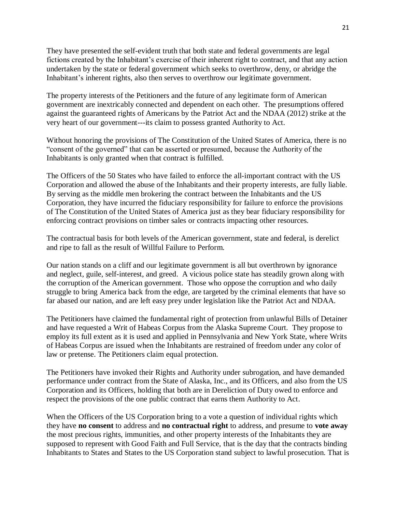They have presented the self-evident truth that both state and federal governments are legal fictions created by the Inhabitant's exercise of their inherent right to contract, and that any action undertaken by the state or federal government which seeks to overthrow, deny, or abridge the Inhabitant's inherent rights, also then serves to overthrow our legitimate government.

The property interests of the Petitioners and the future of any legitimate form of American government are inextricably connected and dependent on each other. The presumptions offered against the guaranteed rights of Americans by the Patriot Act and the NDAA (2012) strike at the very heart of our government---its claim to possess granted Authority to Act.

Without honoring the provisions of The Constitution of the United States of America, there is no "consent of the governed" that can be asserted or presumed, because the Authority of the Inhabitants is only granted when that contract is fulfilled.

The Officers of the 50 States who have failed to enforce the all-important contract with the US Corporation and allowed the abuse of the Inhabitants and their property interests, are fully liable. By serving as the middle men brokering the contract between the Inhabitants and the US Corporation, they have incurred the fiduciary responsibility for failure to enforce the provisions of The Constitution of the United States of America just as they bear fiduciary responsibility for enforcing contract provisions on timber sales or contracts impacting other resources.

The contractual basis for both levels of the American government, state and federal, is derelict and ripe to fall as the result of Willful Failure to Perform.

Our nation stands on a cliff and our legitimate government is all but overthrown by ignorance and neglect, guile, self-interest, and greed. A vicious police state has steadily grown along with the corruption of the American government. Those who oppose the corruption and who daily struggle to bring America back from the edge, are targeted by the criminal elements that have so far abased our nation, and are left easy prey under legislation like the Patriot Act and NDAA.

The Petitioners have claimed the fundamental right of protection from unlawful Bills of Detainer and have requested a Writ of Habeas Corpus from the Alaska Supreme Court. They propose to employ its full extent as it is used and applied in Pennsylvania and New York State, where Writs of Habeas Corpus are issued when the Inhabitants are restrained of freedom under any color of law or pretense. The Petitioners claim equal protection.

The Petitioners have invoked their Rights and Authority under subrogation, and have demanded performance under contract from the State of Alaska, Inc., and its Officers, and also from the US Corporation and its Officers, holding that both are in Dereliction of Duty owed to enforce and respect the provisions of the one public contract that earns them Authority to Act.

When the Officers of the US Corporation bring to a vote a question of individual rights which they have **no consent** to address and **no contractual right** to address, and presume to **vote away** the most precious rights, immunities, and other property interests of the Inhabitants they are supposed to represent with Good Faith and Full Service, that is the day that the contracts binding Inhabitants to States and States to the US Corporation stand subject to lawful prosecution. That is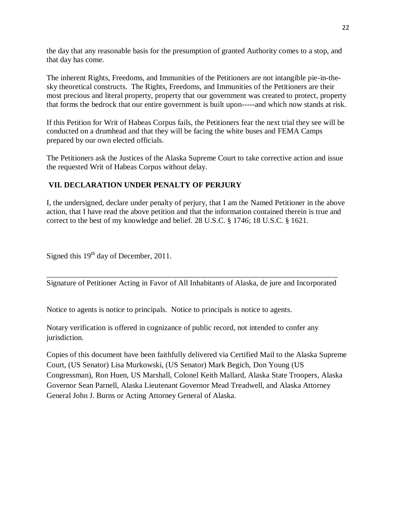the day that any reasonable basis for the presumption of granted Authority comes to a stop, and that day has come.

The inherent Rights, Freedoms, and Immunities of the Petitioners are not intangible pie-in-thesky theoretical constructs. The Rights, Freedoms, and Immunities of the Petitioners are their most precious and literal property, property that our government was created to protect, property that forms the bedrock that our entire government is built upon-----and which now stands at risk.

If this Petition for Writ of Habeas Corpus fails, the Petitioners fear the next trial they see will be conducted on a drumhead and that they will be facing the white buses and FEMA Camps prepared by our own elected officials.

The Petitioners ask the Justices of the Alaska Supreme Court to take corrective action and issue the requested Writ of Habeas Corpus without delay.

# **VII. DECLARATION UNDER PENALTY OF PERJURY**

I, the undersigned, declare under penalty of perjury, that I am the Named Petitioner in the above action, that I have read the above petition and that the information contained therein is true and correct to the best of my knowledge and belief. 28 U.S.C. § 1746; 18 U.S.C. § 1621.

Signed this  $19<sup>th</sup>$  day of December, 2011.

\_\_\_\_\_\_\_\_\_\_\_\_\_\_\_\_\_\_\_\_\_\_\_\_\_\_\_\_\_\_\_\_\_\_\_\_\_\_\_\_\_\_\_\_\_\_\_\_\_\_\_\_\_\_\_\_\_\_\_\_\_\_\_\_\_\_\_\_\_\_\_\_\_\_\_ Signature of Petitioner Acting in Favor of All Inhabitants of Alaska, de jure and Incorporated

Notice to agents is notice to principals. Notice to principals is notice to agents.

Notary verification is offered in cognizance of public record, not intended to confer any jurisdiction.

Copies of this document have been faithfully delivered via Certified Mail to the Alaska Supreme Court, (US Senator) Lisa Murkowski, (US Senator) Mark Begich, Don Young (US Congressman), Ron Huen, US Marshall, Colonel Keith Mallard, Alaska State Troopers, Alaska Governor Sean Parnell, Alaska Lieutenant Governor Mead Treadwell, and Alaska Attorney General John J. Burns or Acting Attorney General of Alaska.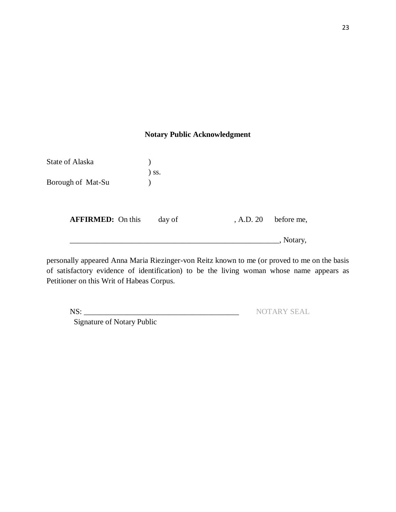# **Notary Public Acknowledgment**

| <b>State of Alaska</b>   |         |           |            |
|--------------------------|---------|-----------|------------|
| Borough of Mat-Su        | $)$ ss. |           |            |
| <b>AFFIRMED:</b> On this | day of  | , A.D. 20 | before me, |
|                          |         |           | , Notary,  |

personally appeared Anna Maria Riezinger-von Reitz known to me (or proved to me on the basis of satisfactory evidence of identification) to be the living woman whose name appears as Petitioner on this Writ of Habeas Corpus.

Signature of Notary Public

NS: \_\_\_\_\_\_\_\_\_\_\_\_\_\_\_\_\_\_\_\_\_\_\_\_\_\_\_\_\_\_\_\_\_\_\_\_\_\_\_\_ NOTARY SEAL